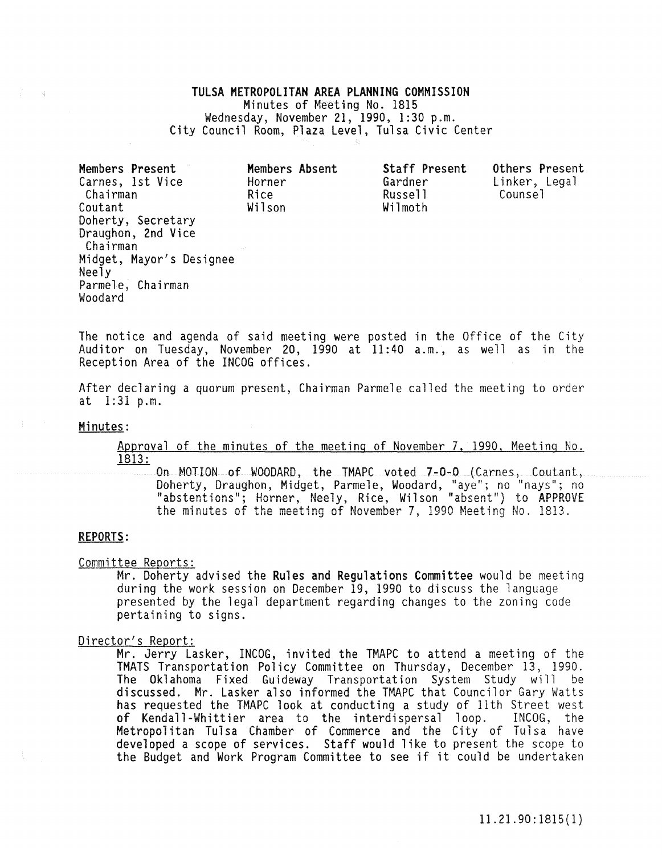# TULSA METROPOLITAN AREA PLANNING COMMISSION Minutes of Meeting No. 1815<br>Wednesday, November 21, 1990, 1:30 p.m. City Council Room, Plaza Level, Tulsa Civic Center

Members Present<sup>-</sup> Carnes, 1st Vice Chairman Coutant Doherty, Secretary Draughon, 2nd Vice Chairman Midget, Mayor's Designee Neely Parmele, Chairman Woodard Members Absent Horner Rice Wilson

Staff Present Gardner Russell Wilmoth Others Present Counsel

Linker, Legal

The notice and agenda of said meeting were posted in the Office of the City Auditor on Tuesday, November 20, 1990 at 11:40 a.m., as well as in the Reception Area of the INCOG offices.

After declaring a quorum present, Chairman Parmele called the meeting to order at 1:31 p.m.

#### Minutes:

 $-\frac{1}{2}$  .

Approval of the minutes of the meeting of November 7, 1990, Meeting No. 1813:

On MOTION of WOODARD, the TMAPC voted 7-0-0 (Carnes, Coutant, Doherty, Draughon, Midget, Parmele, Woodard, "aye"; no "nays"; no "abstentions"; Horner, Neely, Rice, Wilson "absent") to APPROVE the minutes of the meeting of November 7, 1990 Meeting No. 1813.

# REPORTS:

Committee Reports:

Mr. Doherty advised the Rules and Regulations Committee would be meeting during the work session on December 19, 1990 to discuss the language presented by the legal department regarding changes to the zoning code pertaining to signs.

#### Director's Report:

Mr. Jerry Lasker, INCOG, invited the TMAPC to attend a meeting of the TMATS Transportation Policy Committee on Thursday, December 13, 1990. The Oklahoma Fixed Guideway Transportation System Study will be discussed. Mr. Lasker also informed the TMAPC that Councilor Gary Watts has requested the TMAPC look at conducting a study of 11th Street west of Kendall-Whittier area to the interdispersal loop. INCOG, the Metropolitan Tulsa Chamber of Commerce and the City of Tulsa have developed a scope of services. Staff would like to present the scope to the Budget and Work Program Committee to see if it could be undertaken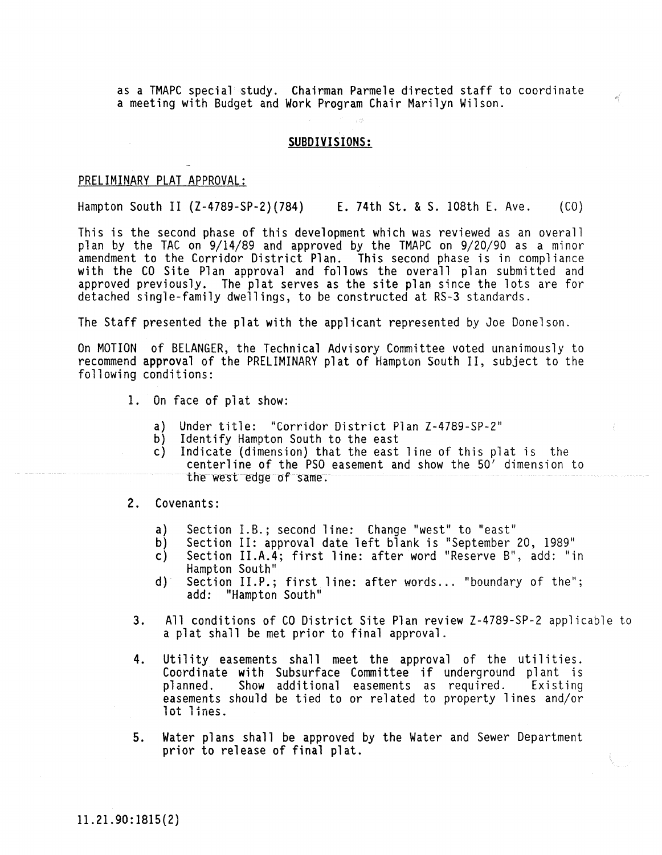as a TMAPC special study. Chairman Parmele directed staff to coordinate a meeting with Budget and Work Program Chair Marilyn Wilson.

# **SUBDIVISIONS:**

# PRELIMINARY PLAT APPROVAL:

Hampton South II (Z-4789-SP-2)(784) E. 74th St. & S. 108th E. Ave. (CO)

This is the second phase of this development which was reviewed as an overall plan by the TAC on 9/14/89 and approved by the TMAPC on 9/20/90 as a minor amendment to the Corridor District Plan. This second phase is in compliance with the CO Site Plan approval and follows the overall plan submitted and with the CO Site Plan approval and follows the overall plan submitted and<br>approved previously. The plat serves as the site plan since the lots are for detached single-family dwellings, to be constructed at RS-3 standards.

The Staff presented the plat with the applicant represented by Joe Donelson.

On MOTION of BELANGER, the Technical Advisory Committee voted unanimously to recommend approval of the PRELIMINARY plat of Hampton South II, subject to the following conditions:

- 1. On face of plat show:
	- a) Under title: "Corridor District Plan Z-4789-SP-2"
	- b) Identify Hampton South to the east
	- Indicate (dimension) that the east line of this plat is the centerline of the PSO easement and show the 50' dimension to the west edge of same.

## 2. Covenants:

- a) Section I.B.; second line: Change "west" to "east"
- b) Section II: approval date left blank is "September 20, 1989"<br>c) Section II.A.4; first line: after word "Reserve B", add: "i
- Section II.A.4; first line: after word "Reserve B", add: "in Hampton South"
- d) Section II.P.; first line: after words ... "boundary of the"; add: "Hampton South"
- 3. All conditions of CO District Site Plan review Z-4789-SP-2 applicable to a plat shall be met prior to final approval.
- 4. Utility easements shall meet the approval of the utilities. Coordinate with Subsurface Committee if underground plant is planned. Show additional easements as required. Existing easements should be tied to or related to property lines and/or lot lines.
- 5. Water plans shall be approved by the Water and Sewer Department prior to release of final plat.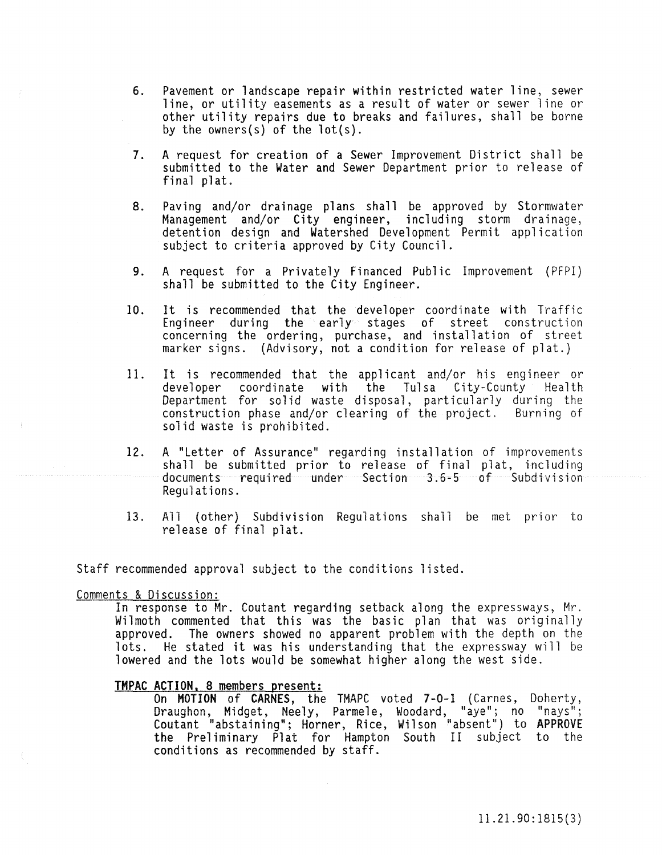- 6. Pavement or landscape repair within restricted water line, sewer line, or utility easements as a result of water or sewer line or other utility repairs due to breaks and failures, shall be borne by the owners(s) of the 10t(s).
- 7. A request for creation of a Sewer Improvement District shall be submitted to the Water and Sewer Department prior to release of final plat.
- 8. Paving and/or drainage plans shall be approved by Stormwater Management and/or City engineer, including storm drainage, detention design and Watershed Development Permit application subject to criteria approved by City Council.
- 9. A request for a Privately Financed Public Improvement (PFPI) shall be submitted to the City Engineer.
- 10. It is recommended that the developer coordinate with Traffic Engineer during the early stages of street construction concerning the ordering, purchase, and installation of street marker signs. (Advisory, not a condition for release of plat.)
- 11. It is recommended that the applicant and/or his engineer or developer coordinate with the Tulsa City-County Health Department for solid waste disposal, particularly during the construction phase and/or clearing of the project. Burning of solid waste is prohibited.
- 12. A "Letter of Assurance" regarding installation of improvements shall be submitted prior to release of final plat, including documents required under Section 3.6-5 of Subdivision Regulations.
- 13. All (other) Subdivision Regulations shall be met prior to release of final plat.

Staff recommended approval subject to the conditions listed.

#### Comments & Discussion:

In response to Mr. Coutant regarding setback along the expressways, Mr. Wilmoth commented that this was the basic plan that was originally approved. The owners showed no apparent problem with the depth on the lots. He stated it was his understanding that the expressway will be lowered and the lots would be somewhat higher along the west side.

TMPAC ACTION, 8 members present:<br>On MOTION of CARNES, the TMAPC voted 7-0-1 (Carnes, Doherty, On **MOTION** of **CARNES**, the TMAPC voted 7-0-1 (Carnes, Doherty,<br>Draughon, Midget, Neely, Parmele, Woodard, "aye"; no "nays"; Coutant "abstaining"; Horner, Rice, Wilson "absent") to APPROVE the Preliminary Plat for Hampton South II subject to the conditions as recommended by staff.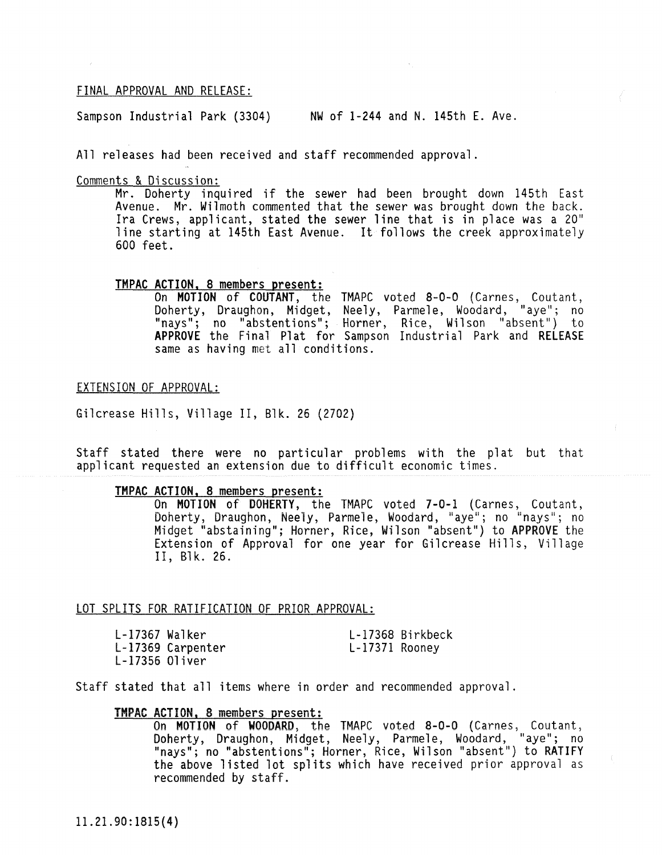# FINAL APPROVAL AND RELEASE:

Sampson Industrial Park (3304) NW of 1-244 and N. 145th E. Ave.

All releases had been received and staff recommended approval.

Comments & Discussion:

Le a Discussion.<br>Mr. Doherty inquired if the sewer had been brought down 145th East Avenue. Mr. Wilmoth commented that the sewer was brought down the back. Ira Crews, applicant, stated the sewer line that is in place was a 20" line starting at 145th East Avenue. It follows the creek approximately 600 feet.

# TMPAC ACTION. 8 members present:

On MOTION of COUTANT, the TMAPC voted 8-0-0 (Carnes, Coutant, Doherty, Draughon, Midget, Neely, Parmele, Woodard, "aye"; no "nays"; no "abstentions"; Horner, Rice, Wilson "absent") to APPROVE the Final Plat for Sampson Industrial Park and RELEASE same as having met all conditions.

#### EXTENSION OF APPROVAL:

Gilcrease Hills, Village II, Blk. 26 (2702)

Staff stated there were no particular problems with the plat but that applicant requested an extension due to difficult economic times.

# TMPAC ACTION. 8 members present:

On MOTION of DOHERTY, the TMAPC voted 7-0-1 (Carnes, Coutant, Doherty, Draughon, Neely, Parmele, Woodard, "aye"; no "nays"; no Midget "abstaining"; Horner, Rice, Wilson "absent") to APPROVE the Extension of Approval for one year for Gilcrease Hills, Village II, B1k. 26.

#### LOT SPLITS FOR RATIFICATION OF PRIOR APPROVAL:

| $L-17367$ Walker |                   |                | L-17368 Birkbeck |
|------------------|-------------------|----------------|------------------|
|                  | L-17369 Carpenter | L-17371 Rooney |                  |
| $L-17356$ Oliver |                   |                |                  |

Staff stated that all items where in order and recommended approval.

# TMPAC ACTION. 8 members present:

On MOTION of WOODARD, the TMAPC voted 8-0-0 (Carnes, Coutant, Doherty, Draughon, Midget, Neely, Parmele, Woodard, "aye"; no "nays"; no "abstentions"; Horner, Rice, Wilson "absent") to RATIFY the above listed lot splits which have received prior approval as recommended by staff.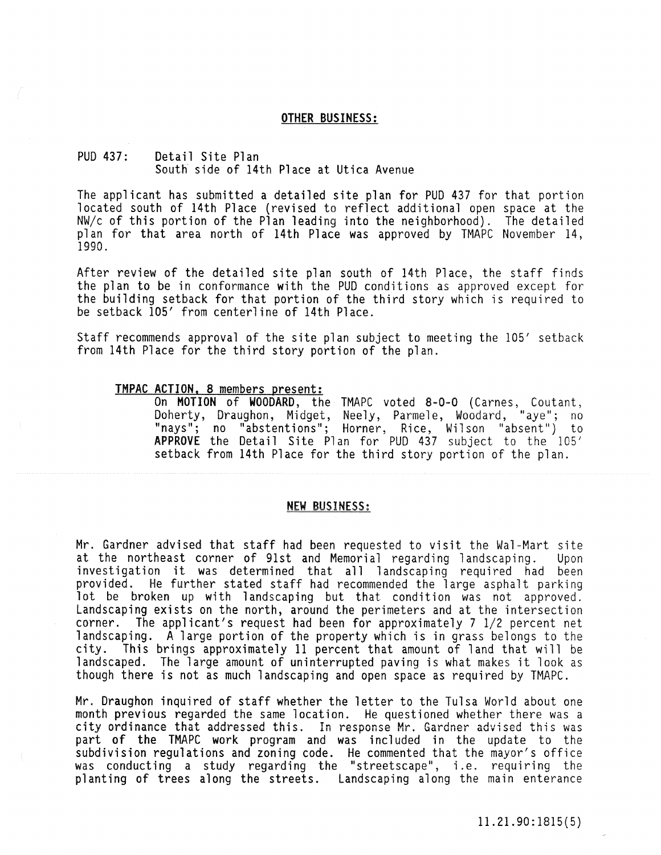#### OTHER BUSINESS:

# PUD 437: Detail Site Plan South side of 14th Place at Utica Avenue

The applicant has submitted a detailed site plan for PUD 437 for that portion located south of 14th Place (revised to reflect additional open space at the NW/c of this portion of the Plan leading into the neighborhood). The detailed plan for that area north of 14th Place was approved by TMAPC November 14, 1990.

After review of the detailed site plan south of 14th Place, the staff finds the plan to be in conformance with the PUD conditions as approved except for the building setback for that portion of the third story which is required to be setback 105' from centerline of 14th Place.

Staff recommends approval of the site plan subject to meeting the 105' setback from 14th Place for the third story portion of the plan.

#### TMPAC ACTION. 8 members present:

On MOTION of WOODARD, the TMAPC voted 8-0-0 (Carnes, Coutant, Doherty, Draughon, Midget, Neely, Parmele, Woodard, "aye"; no "nays"; no "abstentions"; Horner, Rice, Wilson "absent") to APPROVE the Detail Site Plan for PUD 437 subject to the 105' setback from 14th Place for the third story portion of the plan.

#### NFW BUSINESS:

Mr. Gardner advised that staff had been requested to visit the Wal-Mart site at the northeast corner of 91st and Memorial regarding landscaping. Upon investigation it was determined that all landscaping required had been provided. He further stated staff had recommended the large asphalt parking lot be broken up with landscaping but that condition was not approved. Landscaping exists on the north, around the perimeters and at the intersection corner. The applicant's request had been for approximately 7 1/2 percent net landscaping. A large portion of the property which is in grass belongs to the city. This brings approximately 11 percent that amount of land that will be landscaped. The large amount of uninterrupted paving is what makes it look as though there is not as much landscaping and open space as required by TMAPC.

Mr. Draughon inquired of staff whether the letter to the Tulsa World about one month previous regarded the same iocation. He questioned whether there was a city ordinance that addressed this. In response Mr. Gardner advised this was part of the TMAPC work program and was included in the update to the subdivision regulations and zoning code. He commented that the mayor's office was conducting a study regarding the "streetscape", i.e. requiring the planting of trees along the streets. Landscaping along the main enterance